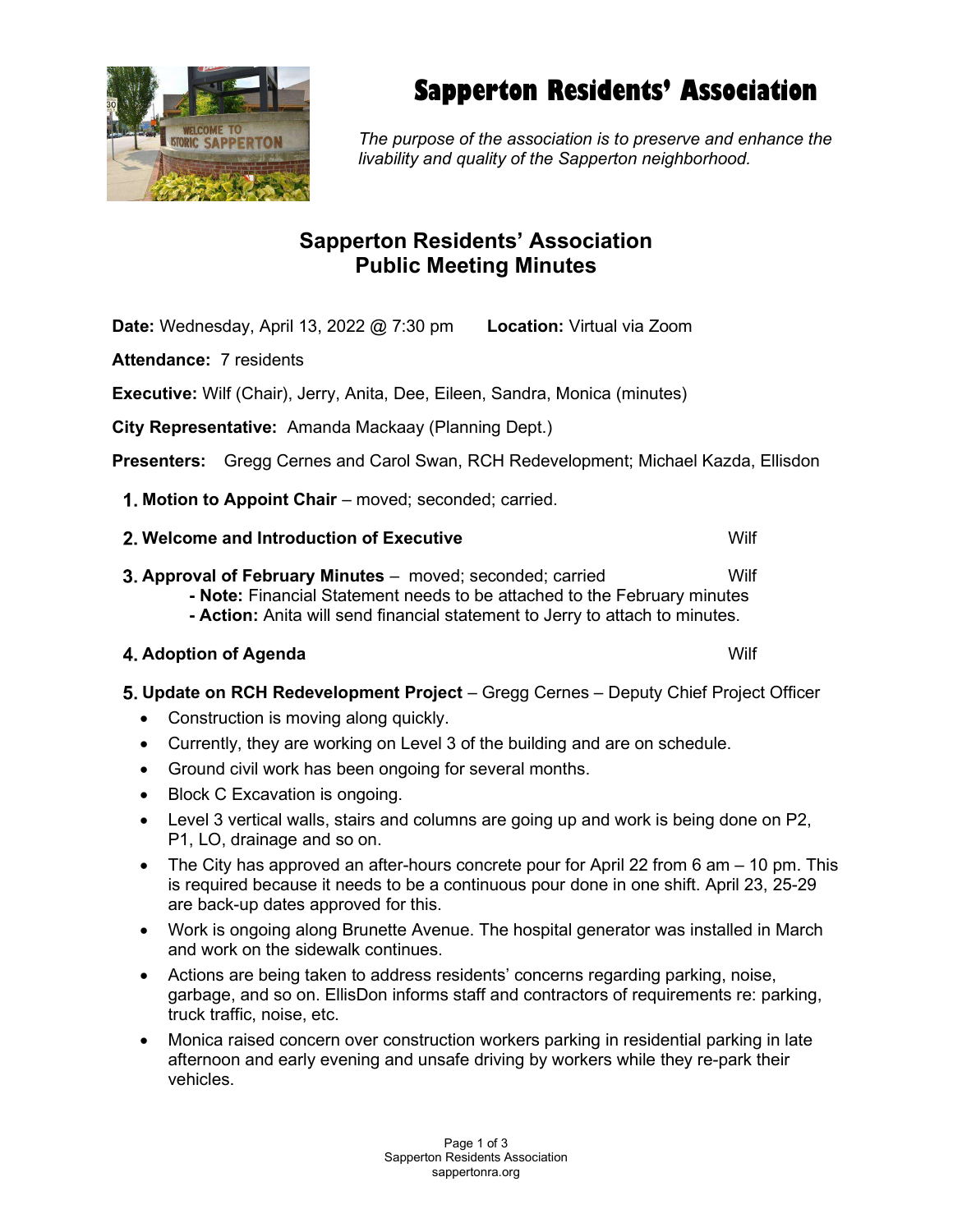

# Sapperton Residents' Association

The purpose of the association is to preserve and enhance the livability and quality of the Sapperton neighborhood.

## Sapperton Residents' Association Public Meeting Minutes

Date: Wednesday, April 13, 2022 @ 7:30 pm Location: Virtual via Zoom

Attendance: 7 residents

Executive: Wilf (Chair), Jerry, Anita, Dee, Eileen, Sandra, Monica (minutes)

City Representative: Amanda Mackaay (Planning Dept.)

Presenters: Gregg Cernes and Carol Swan, RCH Redevelopment; Michael Kazda, Ellisdon

1. Motion to Appoint Chair – moved; seconded; carried.

### 2. Welcome and Introduction of Executive Network Control and Multiple Wilf

- **3. Approval of February Minutes** moved; seconded; carried Wilf - Note: Financial Statement needs to be attached to the February minutes
	- Action: Anita will send financial statement to Jerry to attach to minutes.

## **4. Adoption of Agenda Wilford Science Agency Control Control Control Control Control Control Control Control Control Control Control Control Control Control Control Control Control Control Control Control Control Control**

- 5. Update on RCH Redevelopment Project Gregg Cernes Deputy Chief Project Officer
	- Construction is moving along quickly.
	- Currently, they are working on Level 3 of the building and are on schedule.
	- Ground civil work has been ongoing for several months.
	- Block C Excavation is ongoing.
	- Level 3 vertical walls, stairs and columns are going up and work is being done on P2, P1, LO, drainage and so on.
	- The City has approved an after-hours concrete pour for April 22 from 6 am  $-$  10 pm. This is required because it needs to be a continuous pour done in one shift. April 23, 25-29 are back-up dates approved for this.
	- Work is ongoing along Brunette Avenue. The hospital generator was installed in March and work on the sidewalk continues.
	- Actions are being taken to address residents' concerns regarding parking, noise, garbage, and so on. EllisDon informs staff and contractors of requirements re: parking, truck traffic, noise, etc.
	- Monica raised concern over construction workers parking in residential parking in late afternoon and early evening and unsafe driving by workers while they re-park their vehicles.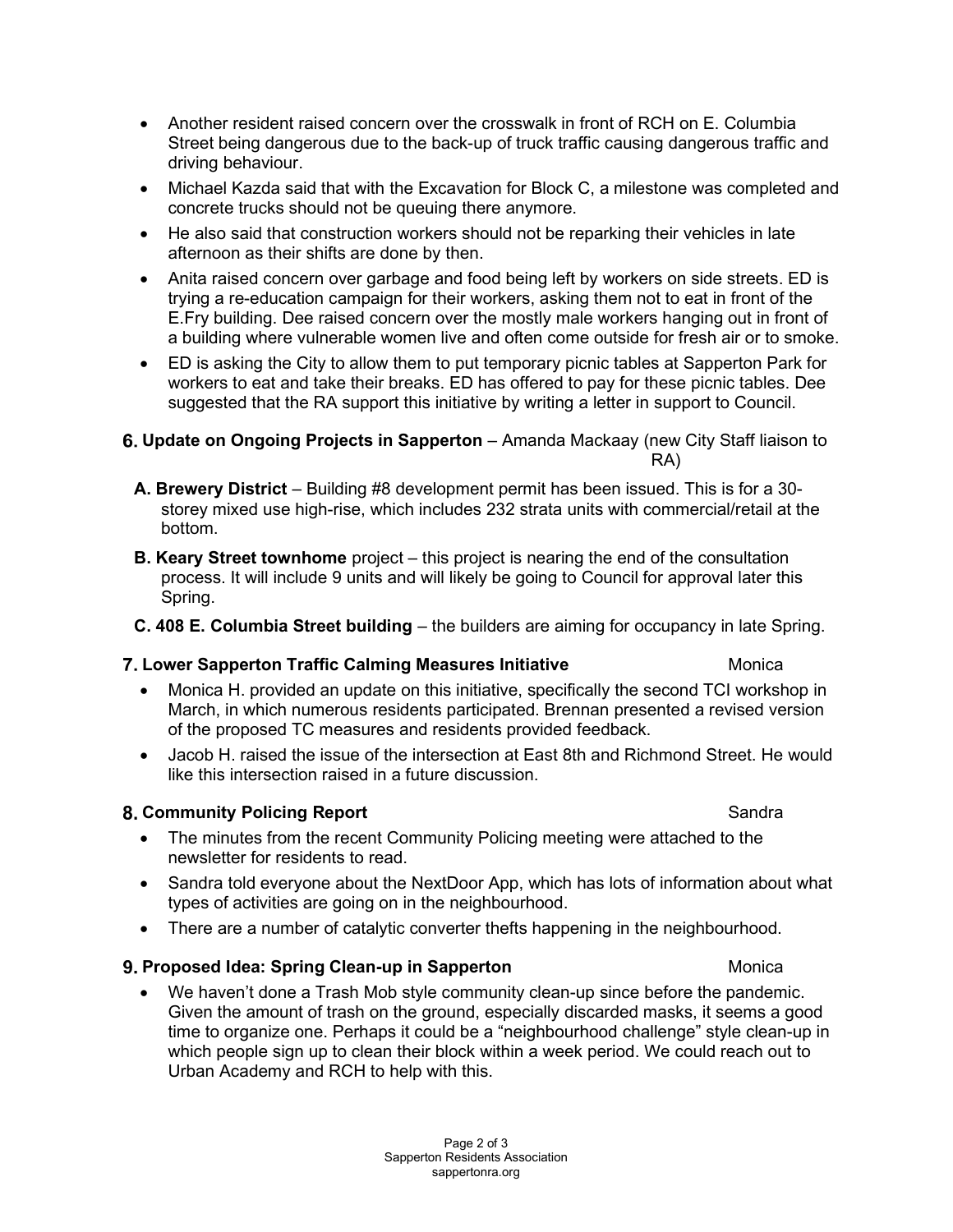- Another resident raised concern over the crosswalk in front of RCH on E. Columbia Street being dangerous due to the back-up of truck traffic causing dangerous traffic and driving behaviour.
- Michael Kazda said that with the Excavation for Block C, a milestone was completed and concrete trucks should not be queuing there anymore.
- He also said that construction workers should not be reparking their vehicles in late afternoon as their shifts are done by then.
- Anita raised concern over garbage and food being left by workers on side streets. ED is trying a re-education campaign for their workers, asking them not to eat in front of the E.Fry building. Dee raised concern over the mostly male workers hanging out in front of a building where vulnerable women live and often come outside for fresh air or to smoke.
- ED is asking the City to allow them to put temporary picnic tables at Sapperton Park for workers to eat and take their breaks. ED has offered to pay for these picnic tables. Dee suggested that the RA support this initiative by writing a letter in support to Council.

#### 6. Update on Ongoing Projects in Sapperton – Amanda Mackaay (new City Staff liaison to RA)

- A. Brewery District Building #8 development permit has been issued. This is for a 30 storey mixed use high-rise, which includes 232 strata units with commercial/retail at the bottom.
- **B. Keary Street townhome** project this project is nearing the end of the consultation process. It will include 9 units and will likely be going to Council for approval later this Spring.
- C. 408 E. Columbia Street building the builders are aiming for occupancy in late Spring.

#### **7. Lower Sapperton Traffic Calming Measures Initiative Monical Contract Contract Contract Contract Contract Contract Contract Contract Contract Contract Contract Contract Contract Contract Contract Contract Contract Contr**

- Monica H. provided an update on this initiative, specifically the second TCI workshop in March, in which numerous residents participated. Brennan presented a revised version of the proposed TC measures and residents provided feedback.
- Jacob H. raised the issue of the intersection at East 8th and Richmond Street. He would like this intersection raised in a future discussion.

#### 8. Community Policing Report **Sandra** Sandra Sandra Sandra Sandra Sandra Sandra Sandra Sandra Sandra Sandra Sandra Sandra Sandra Sandra Sandra Sandra Sandra Sandra Sandra Sandra Sandra Sandra Sandra Sandra Sandra Sandra Sa

- The minutes from the recent Community Policing meeting were attached to the newsletter for residents to read.
- Sandra told everyone about the NextDoor App, which has lots of information about what types of activities are going on in the neighbourhood.
- There are a number of catalytic converter thefts happening in the neighbourhood.

#### 9. Proposed Idea: Spring Clean-up in Sapperton Monica

 We haven't done a Trash Mob style community clean-up since before the pandemic. Given the amount of trash on the ground, especially discarded masks, it seems a good time to organize one. Perhaps it could be a "neighbourhood challenge" style clean-up in which people sign up to clean their block within a week period. We could reach out to Urban Academy and RCH to help with this.